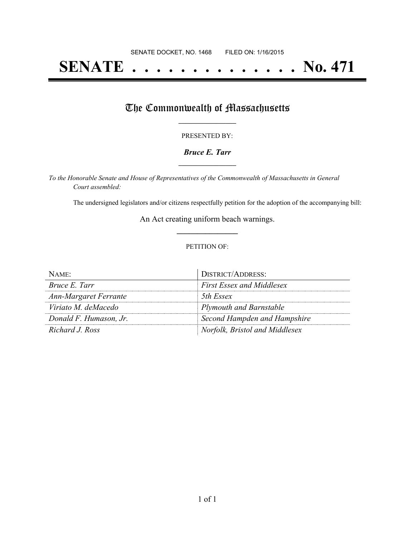# **SENATE . . . . . . . . . . . . . . No. 471**

## The Commonwealth of Massachusetts

#### PRESENTED BY:

#### *Bruce E. Tarr* **\_\_\_\_\_\_\_\_\_\_\_\_\_\_\_\_\_**

*To the Honorable Senate and House of Representatives of the Commonwealth of Massachusetts in General Court assembled:*

The undersigned legislators and/or citizens respectfully petition for the adoption of the accompanying bill:

An Act creating uniform beach warnings. **\_\_\_\_\_\_\_\_\_\_\_\_\_\_\_**

#### PETITION OF:

| $N$ AME:               | <b>DISTRICT/ADDRESS:</b>         |
|------------------------|----------------------------------|
| Bruce E. Tarr          | <b>First Essex and Middlesex</b> |
| Ann-Margaret Ferrante  | 5th Essex                        |
| Viriato M. deMacedo    | <b>Plymouth and Barnstable</b>   |
| Donald F. Humason, Jr. | Second Hampden and Hampshire     |
| Richard J. Ross        | Norfolk, Bristol and Middlesex   |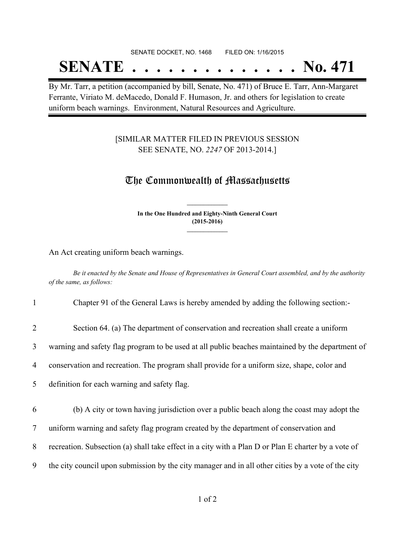# SENATE DOCKET, NO. 1468 FILED ON: 1/16/2015 **SENATE . . . . . . . . . . . . . . No. 471**

By Mr. Tarr, a petition (accompanied by bill, Senate, No. 471) of Bruce E. Tarr, Ann-Margaret Ferrante, Viriato M. deMacedo, Donald F. Humason, Jr. and others for legislation to create uniform beach warnings. Environment, Natural Resources and Agriculture.

### [SIMILAR MATTER FILED IN PREVIOUS SESSION SEE SENATE, NO. *2247* OF 2013-2014.]

## The Commonwealth of Massachusetts

**In the One Hundred and Eighty-Ninth General Court (2015-2016) \_\_\_\_\_\_\_\_\_\_\_\_\_\_\_**

**\_\_\_\_\_\_\_\_\_\_\_\_\_\_\_**

An Act creating uniform beach warnings.

Be it enacted by the Senate and House of Representatives in General Court assembled, and by the authority *of the same, as follows:*

| $\mathbf{1}$   | Chapter 91 of the General Laws is hereby amended by adding the following section:                   |
|----------------|-----------------------------------------------------------------------------------------------------|
| $\overline{2}$ | Section 64. (a) The department of conservation and recreation shall create a uniform                |
| 3              | warning and safety flag program to be used at all public beaches maintained by the department of    |
| $\overline{4}$ | conservation and recreation. The program shall provide for a uniform size, shape, color and         |
| 5 <sup>1</sup> | definition for each warning and safety flag.                                                        |
| 6              | (b) A city or town having jurisdiction over a public beach along the coast may adopt the            |
| $\overline{7}$ | uniform warning and safety flag program created by the department of conservation and               |
| 8              | recreation. Subsection (a) shall take effect in a city with a Plan D or Plan E charter by a vote of |
| 9              | the city council upon submission by the city manager and in all other cities by a vote of the city  |